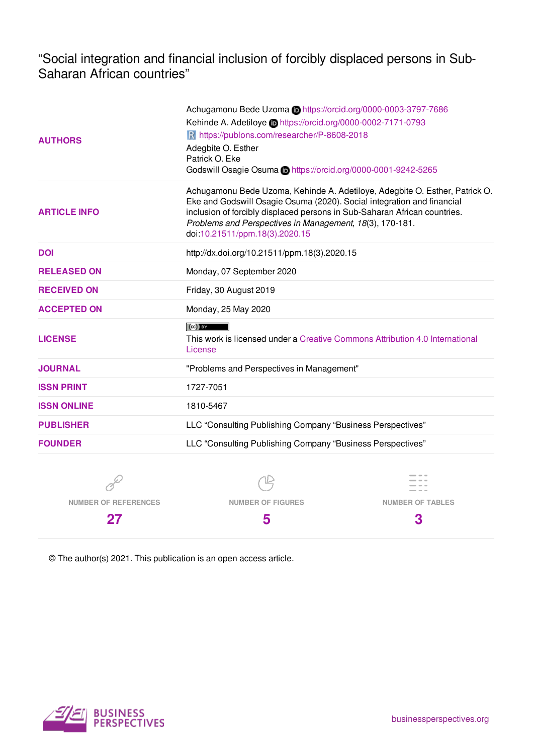"Social integration and financial inclusion of forcibly displaced persons in Sub-Saharan African countries"

| <b>AUTHORS</b>      | Achugamonu Bede Uzoma Chttps://orcid.org/0000-0003-3797-7686<br>Kehinde A. Adetiloye in https://orcid.org/0000-0002-7171-0793<br>R https://publons.com/researcher/P-8608-2018<br>Adegbite O. Esther<br>Patrick O. Eke<br>Godswill Osagie Osuma Chttps://orcid.org/0000-0001-9242-5265                                            |  |  |
|---------------------|----------------------------------------------------------------------------------------------------------------------------------------------------------------------------------------------------------------------------------------------------------------------------------------------------------------------------------|--|--|
| <b>ARTICLE INFO</b> | Achugamonu Bede Uzoma, Kehinde A. Adetiloye, Adegbite O. Esther, Patrick O.<br>Eke and Godswill Osagie Osuma (2020). Social integration and financial<br>inclusion of forcibly displaced persons in Sub-Saharan African countries.<br>Problems and Perspectives in Management, 18(3), 170-181.<br>doi:10.21511/ppm.18(3).2020.15 |  |  |
| <b>DOI</b>          | http://dx.doi.org/10.21511/ppm.18(3).2020.15                                                                                                                                                                                                                                                                                     |  |  |
| <b>RELEASED ON</b>  | Monday, 07 September 2020                                                                                                                                                                                                                                                                                                        |  |  |
| <b>RECEIVED ON</b>  | Friday, 30 August 2019                                                                                                                                                                                                                                                                                                           |  |  |
| <b>ACCEPTED ON</b>  | Monday, 25 May 2020                                                                                                                                                                                                                                                                                                              |  |  |
| <b>LICENSE</b>      | $(cc)$ BY<br>This work is licensed under a Creative Commons Attribution 4.0 International<br>License                                                                                                                                                                                                                             |  |  |
| <b>JOURNAL</b>      | "Problems and Perspectives in Management"                                                                                                                                                                                                                                                                                        |  |  |
| <b>ISSN PRINT</b>   | 1727-7051                                                                                                                                                                                                                                                                                                                        |  |  |
| <b>ISSN ONLINE</b>  | 1810-5467                                                                                                                                                                                                                                                                                                                        |  |  |
| <b>PUBLISHER</b>    | LLC "Consulting Publishing Company "Business Perspectives"                                                                                                                                                                                                                                                                       |  |  |
| <b>FOUNDER</b>      | LLC "Consulting Publishing Company "Business Perspectives"                                                                                                                                                                                                                                                                       |  |  |
|                     |                                                                                                                                                                                                                                                                                                                                  |  |  |

**NUMBER OF REFERENCES**

**27**

**NUMBER OF FIGURES 5**



© The author(s) 2021. This publication is an open access article.

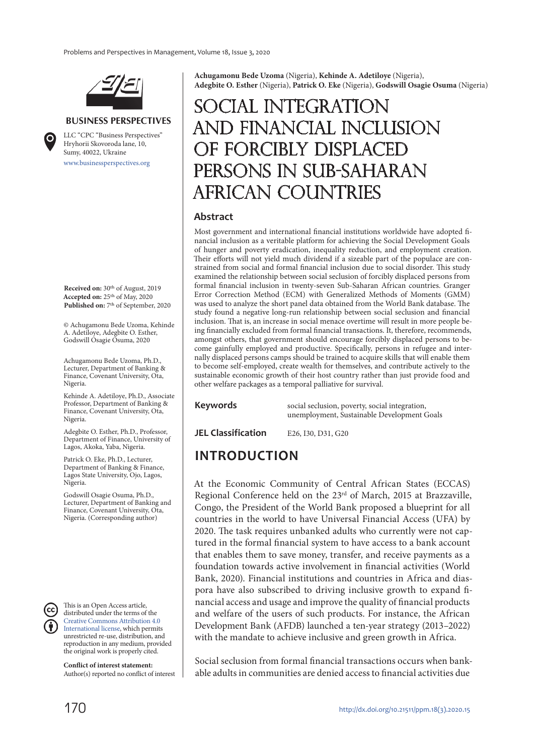

#### **BUSINESS PERSPECTIVES**

www.businessperspectives.org LLC "СPС "Business Perspectives" Hryhorii Skovoroda lane, 10, Sumy, 40022, Ukraine

**Received on:** 30th of August, 2019 **Accepted on:** 25th of May, 2020 **Published on:** 7th of September, 2020

© Achugamonu Bede Uzoma, Kehinde A. Adetiloye, Adegbite O. Esther, Godswill Osagie Osuma, 2020

Achugamonu Bede Uzoma, Ph.D., Lecturer, Department of Banking & Finance, Covenant University, Ota, Nigeria.

Kehinde A. Adetiloye, Ph.D., Associate Professor, Department of Banking & Finance, Covenant University, Ota, Nigeria.

Adegbite O. Esther, Ph.D., Professor, Department of Finance, University of Lagos, Akoka, Yaba, Nigeria.

Patrick O. Eke, Ph.D., Lecturer, Department of Banking & Finance, Lagos State University, Ojo, Lagos, Nigeria.

Godswill Osagie Osuma, Ph.D., Lecturer, Department of Banking and Finance, Covenant University, Ota, Nigeria. (Corresponding author)

This is an Open Access article, distributed under the terms of the Creative Commons Attribution 4.0 International license, which permits unrestricted re-use, distribution, and reproduction in any medium, provided the original work is properly cited.

**Conflict of interest statement:**  Author(s) reported no conflict of interest **Achugamonu Bede Uzoma** (Nigeria), **Kehinde A. Adetiloye** (Nigeria), **Adegbite O. Esther** (Nigeria), **Patrick O. Eke** (Nigeria), **Godswill Osagie Osuma** (Nigeria)

# Social integration and financial inclusion of forcibly displaced persons in Sub-Saharan African countries

#### **Abstract**

Most government and international financial institutions worldwide have adopted financial inclusion as a veritable platform for achieving the Social Development Goals of hunger and poverty eradication, inequality reduction, and employment creation. Their efforts will not yield much dividend if a sizeable part of the populace are constrained from social and formal financial inclusion due to social disorder. This study examined the relationship between social seclusion of forcibly displaced persons from formal financial inclusion in twenty-seven Sub-Saharan African countries. Granger Error Correction Method (ECM) with Generalized Methods of Moments (GMM) was used to analyze the short panel data obtained from the World Bank database. The study found a negative long-run relationship between social seclusion and financial inclusion. That is, an increase in social menace overtime will result in more people being financially excluded from formal financial transactions. It, therefore, recommends, amongst others, that government should encourage forcibly displaced persons to become gainfully employed and productive. Specifically, persons in refugee and internally displaced persons camps should be trained to acquire skills that will enable them to become self-employed, create wealth for themselves, and contribute actively to the sustainable economic growth of their host country rather than just provide food and other welfare packages as a temporal palliative for survival.

**Keywords** social seclusion, poverty, social integration, unemployment, Sustainable Development Goals

**JEL Classification** E26, I30, D31, G20

# **INTRODUCTION**

At the Economic Community of Central African States (ECCAS) Regional Conference held on the 23<sup>rd</sup> of March, 2015 at Brazzaville, Congo, the President of the World Bank proposed a blueprint for all countries in the world to have Universal Financial Access (UFA) by 2020. The task requires unbanked adults who currently were not captured in the formal financial system to have access to a bank account that enables them to save money, transfer, and receive payments as a foundation towards active involvement in financial activities (World Bank, 2020). Financial institutions and countries in Africa and diaspora have also subscribed to driving inclusive growth to expand financial access and usage and improve the quality of financial products and welfare of the users of such products. For instance, the African Development Bank (AFDB) launched a ten-year strategy (2013–2022) with the mandate to achieve inclusive and green growth in Africa.

Social seclusion from formal financial transactions occurs when bankable adults in communities are denied access to financial activities due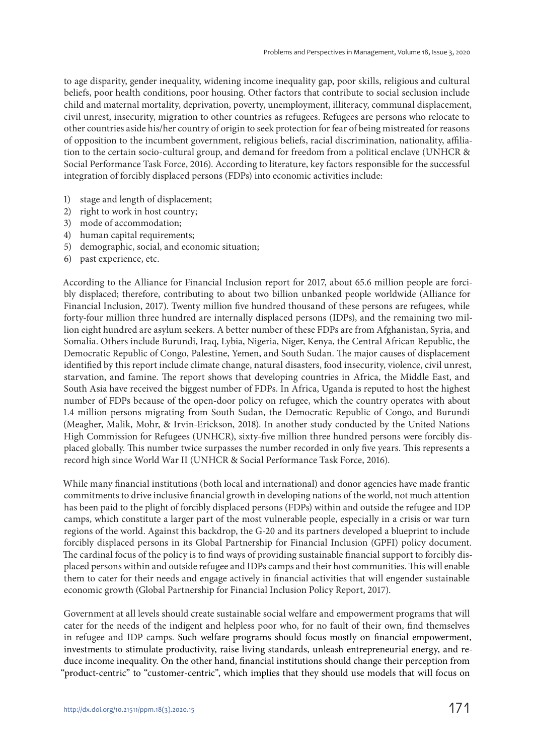to age disparity, gender inequality, widening income inequality gap, poor skills, religious and cultural beliefs, poor health conditions, poor housing. Other factors that contribute to social seclusion include child and maternal mortality, deprivation, poverty, unemployment, illiteracy, communal displacement, civil unrest, insecurity, migration to other countries as refugees. Refugees are persons who relocate to other countries aside his/her country of origin to seek protection for fear of being mistreated for reasons of opposition to the incumbent government, religious beliefs, racial discrimination, nationality, affiliation to the certain socio-cultural group, and demand for freedom from a political enclave (UNHCR & Social Performance Task Force, 2016). According to literature, key factors responsible for the successful integration of forcibly displaced persons (FDPs) into economic activities include:

- 1) stage and length of displacement;
- 2) right to work in host country;
- 3) mode of accommodation;
- 4) human capital requirements;
- 5) demographic, social, and economic situation;
- 6) past experience, etc.

According to the Alliance for Financial Inclusion report for 2017, about 65.6 million people are forcibly displaced; therefore, contributing to about two billion unbanked people worldwide (Alliance for Financial Inclusion, 2017). Twenty million five hundred thousand of these persons are refugees, while forty-four million three hundred are internally displaced persons (IDPs), and the remaining two million eight hundred are asylum seekers. A better number of these FDPs are from Afghanistan, Syria, and Somalia. Others include Burundi, Iraq, Lybia, Nigeria, Niger, Kenya, the Central African Republic, the Democratic Republic of Congo, Palestine, Yemen, and South Sudan. The major causes of displacement identified by this report include climate change, natural disasters, food insecurity, violence, civil unrest, starvation, and famine. The report shows that developing countries in Africa, the Middle East, and South Asia have received the biggest number of FDPs. In Africa, Uganda is reputed to host the highest number of FDPs because of the open-door policy on refugee, which the country operates with about 1.4 million persons migrating from South Sudan, the Democratic Republic of Congo, and Burundi (Meagher, Malik, Mohr, & Irvin-Erickson, 2018). In another study conducted by the United Nations High Commission for Refugees (UNHCR), sixty-five million three hundred persons were forcibly displaced globally. This number twice surpasses the number recorded in only five years. This represents a record high since World War II (UNHCR & Social Performance Task Force, 2016).

While many financial institutions (both local and international) and donor agencies have made frantic commitments to drive inclusive financial growth in developing nations of the world, not much attention has been paid to the plight of forcibly displaced persons (FDPs) within and outside the refugee and IDP camps, which constitute a larger part of the most vulnerable people, especially in a crisis or war turn regions of the world. Against this backdrop, the G-20 and its partners developed a blueprint to include forcibly displaced persons in its Global Partnership for Financial Inclusion (GPFI) policy document. The cardinal focus of the policy is to find ways of providing sustainable financial support to forcibly displaced persons within and outside refugee and IDPs camps and their host communities. This will enable them to cater for their needs and engage actively in financial activities that will engender sustainable economic growth (Global Partnership for Financial Inclusion Policy Report, 2017).

Government at all levels should create sustainable social welfare and empowerment programs that will cater for the needs of the indigent and helpless poor who, for no fault of their own, find themselves in refugee and IDP camps. Such welfare programs should focus mostly on financial empowerment, investments to stimulate productivity, raise living standards, unleash entrepreneurial energy, and reduce income inequality. On the other hand, financial institutions should change their perception from "product-centric" to "customer-centric", which implies that they should use models that will focus on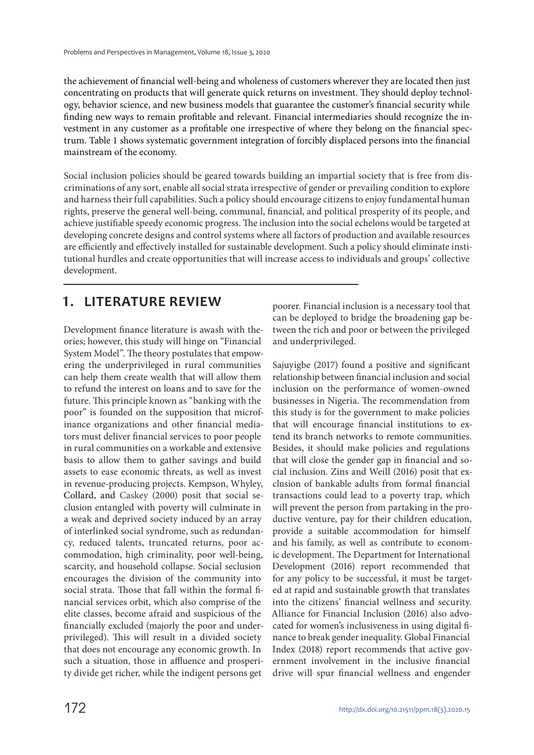the achievement of financial well-being and wholeness of customers wherever they are located then just concentrating on products that will generate quick returns on investment. They should deploy technology, behavior science, and new business models that guarantee the customer's financial security while finding new ways to remain profitable and relevant. Financial intermediaries should recognize the investment in any customer as a profitable one irrespective of where they belong on the financial spectrum. Table 1 shows systematic government integration of forcibly displaced persons into the financial mainstream of the economy.

Social inclusion policies should be geared towards building an impartial society that is free from discriminations of any sort, enable all social strata irrespective of gender or prevailing condition to explore and harness their full capabilities. Such a policy should encourage citizens to enjoy fundamental human rights, preserve the general well-being, communal, financial, and political prosperity of its people, and achieve justifiable speedy economic progress. The inclusion into the social echelons would be targeted at developing concrete designs and control systems where all factors of production and available resources are efficiently and effectively installed for sustainable development. Such a policy should eliminate institutional hurdles and create opportunities that will increase access to individuals and groups' collective development.

# **1. LITERATURE REVIEW**

Development finance literature is awash with theories; however, this study will hinge on "Financial System Model". The theory postulates that empowering the underprivileged in rural communities can help them create wealth that will allow them to refund the interest on loans and to save for the future. This principle known as "banking with the poor" is founded on the supposition that microfinance organizations and other financial mediators must deliver financial services to poor people in rural communities on a workable and extensive basis to allow them to gather savings and build assets to ease economic threats, as well as invest in revenue-producing projects. Kempson, Whyley, Collard, and Caskey (2000) posit that social seclusion entangled with poverty will culminate in a weak and deprived society induced by an array of interlinked social syndrome, such as redundancy, reduced talents, truncated returns, poor accommodation, high criminality, poor well-being, scarcity, and household collapse. Social seclusion encourages the division of the community into social strata. Those that fall within the formal financial services orbit, which also comprise of the elite classes, become afraid and suspicious of the financially excluded (majorly the poor and underprivileged). This will result in a divided society that does not encourage any economic growth. In such a situation, those in affluence and prosperity divide get richer, while the indigent persons get

poorer. Financial inclusion is a necessary tool that can be deployed to bridge the broadening gap between the rich and poor or between the privileged and underprivileged.

Sajuyigbe (2017) found a positive and significant relationship between financial inclusion and social inclusion on the performance of women-owned businesses in Nigeria. The recommendation from this study is for the government to make policies that will encourage financial institutions to extend its branch networks to remote communities. Besides, it should make policies and regulations that will close the gender gap in financial and social inclusion. Zins and Weill (2016) posit that exclusion of bankable adults from formal financial transactions could lead to a poverty trap, which will prevent the person from partaking in the productive venture, pay for their children education, provide a suitable accommodation for himself and his family, as well as contribute to economic development. The Department for International Development (2016) report recommended that for any policy to be successful, it must be targeted at rapid and sustainable growth that translates into the citizens' financial wellness and security. Alliance for Financial Inclusion (2016) also advocated for women's inclusiveness in using digital finance to break gender inequality. Global Financial Index (2018) report recommends that active government involvement in the inclusive financial drive will spur financial wellness and engender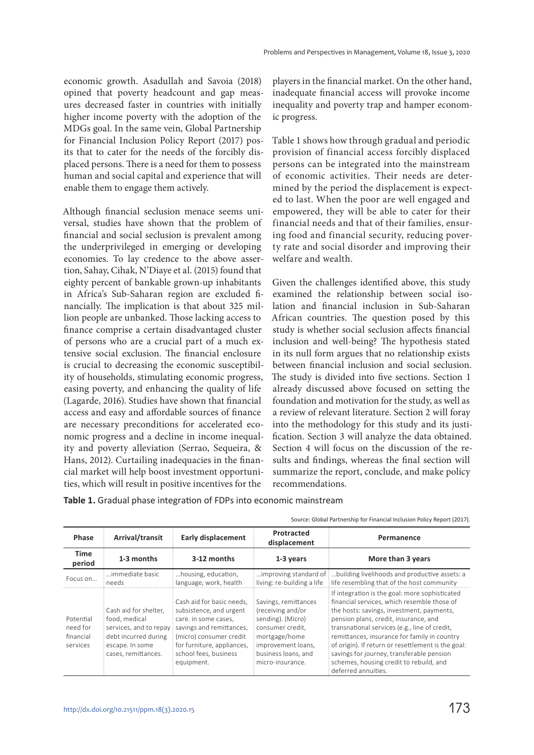economic growth. Asadullah and Savoia (2018) opined that poverty headcount and gap measures decreased faster in countries with initially higher income poverty with the adoption of the MDGs goal. In the same vein, Global Partnership for Financial Inclusion Policy Report (2017) posits that to cater for the needs of the forcibly displaced persons. There is a need for them to possess human and social capital and experience that will enable them to engage them actively.

Although financial seclusion menace seems universal, studies have shown that the problem of financial and social seclusion is prevalent among the underprivileged in emerging or developing economies. To lay credence to the above assertion, Sahay, Cihak, N'Diaye et al. (2015) found that eighty percent of bankable grown-up inhabitants in Africa's Sub-Saharan region are excluded financially. The implication is that about 325 million people are unbanked. Those lacking access to finance comprise a certain disadvantaged cluster of persons who are a crucial part of a much extensive social exclusion. The financial enclosure is crucial to decreasing the economic susceptibility of households, stimulating economic progress, easing poverty, and enhancing the quality of life (Lagarde, 2016). Studies have shown that financial access and easy and affordable sources of finance are necessary preconditions for accelerated economic progress and a decline in income inequality and poverty alleviation (Serrao, Sequeira, & Hans, 2012). Curtailing inadequacies in the financial market will help boost investment opportunities, which will result in positive incentives for the

players in the financial market. On the other hand, inadequate financial access will provoke income inequality and poverty trap and hamper economic progress.

Table 1 shows how through gradual and periodic provision of financial access forcibly displaced persons can be integrated into the mainstream of economic activities. Their needs are determined by the period the displacement is expected to last. When the poor are well engaged and empowered, they will be able to cater for their financial needs and that of their families, ensuring food and financial security, reducing poverty rate and social disorder and improving their welfare and wealth.

Given the challenges identified above, this study examined the relationship between social isolation and financial inclusion in Sub-Saharan African countries. The question posed by this study is whether social seclusion affects financial inclusion and well-being? The hypothesis stated in its null form argues that no relationship exists between financial inclusion and social seclusion. The study is divided into five sections. Section 1 already discussed above focused on setting the foundation and motivation for the study, as well as a review of relevant literature. Section 2 will foray into the methodology for this study and its justification. Section 3 will analyze the data obtained. Section 4 will focus on the discussion of the results and findings, whereas the final section will summarize the report, conclude, and make policy recommendations.

**Table 1.** Gradual phase integration of FDPs into economic mainstream

| Source: Global Partnership for Financial Inclusion Policy Report (2017). |  |  |  |  |  |
|--------------------------------------------------------------------------|--|--|--|--|--|
|--------------------------------------------------------------------------|--|--|--|--|--|

| Phase                                          | Arrival/transit                                                                                                                    | <b>Early displacement</b>                                                                                                                                                                                | Protracted<br>displacement                                                                                                                                           | Permanence                                                                                                                                                                                                                                                                                                                                                                                                                                                |
|------------------------------------------------|------------------------------------------------------------------------------------------------------------------------------------|----------------------------------------------------------------------------------------------------------------------------------------------------------------------------------------------------------|----------------------------------------------------------------------------------------------------------------------------------------------------------------------|-----------------------------------------------------------------------------------------------------------------------------------------------------------------------------------------------------------------------------------------------------------------------------------------------------------------------------------------------------------------------------------------------------------------------------------------------------------|
| <b>Time</b><br>period                          | 1-3 months                                                                                                                         | 3-12 months                                                                                                                                                                                              | 1-3 years                                                                                                                                                            | More than 3 years                                                                                                                                                                                                                                                                                                                                                                                                                                         |
| Focus on                                       | immediate basic<br>needs                                                                                                           | housing, education,<br>language, work, health                                                                                                                                                            | living: re-building a life                                                                                                                                           | improving standard of [building livelihoods and productive assets: a<br>life resembling that of the host community                                                                                                                                                                                                                                                                                                                                        |
| Potential<br>need for<br>financial<br>services | Cash aid for shelter,<br>food, medical<br>services, and to repay<br>debt incurred during<br>escape. In some<br>cases, remittances. | Cash aid for basic needs,<br>subsistence, and urgent<br>care. in some cases,<br>savings and remittances,<br>(micro) consumer credit<br>for furniture, appliances,<br>school fees, business<br>equipment. | Savings, remittances<br>(receiving and/or<br>sending). (Micro)<br>consumer credit.<br>mortgage/home<br>improvement loans,<br>business loans, and<br>micro-insurance. | If integration is the goal: more sophisticated<br>financial services, which resemble those of<br>the hosts: savings, investment, payments,<br>pension plans, credit, insurance, and<br>transnational services (e.g., line of credit,<br>remittances, insurance for family in country<br>of origin). If return or resettlement is the goal:<br>savings for journey, transferable pension<br>schemes, housing credit to rebuild, and<br>deferred annuities. |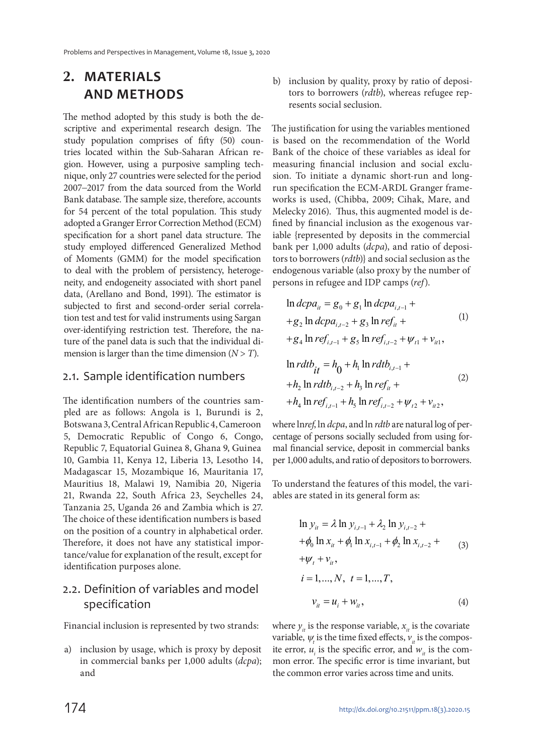# **2. MATERIALS AND METHODS**

The method adopted by this study is both the descriptive and experimental research design. The study population comprises of fifty (50) countries located within the Sub-Saharan African region. However, using a purposive sampling technique, only 27 countries were selected for the period 2007−2017 from the data sourced from the World Bank database. The sample size, therefore, accounts for 54 percent of the total population. This study adopted a Granger Error Correction Method (ECM) specification for a short panel data structure. The study employed differenced Generalized Method of Moments (GMM) for the model specification to deal with the problem of persistency, heterogeneity, and endogeneity associated with short panel data, (Arellano and Bond, 1991). The estimator is subjected to first and second-order serial correlation test and test for valid instruments using Sargan over-identifying restriction test. Therefore, the nature of the panel data is such that the individual dimension is larger than the time dimension  $(N > T)$ .

#### 2.1. Sample identification numbers

The identification numbers of the countries sampled are as follows: Angola is 1, Burundi is 2, Botswana 3, Central African Republic 4, Cameroon 5, Democratic Republic of Congo 6, Congo, Republic 7, Equatorial Guinea 8, Ghana 9, Guinea 10, Gambia 11, Kenya 12, Liberia 13, Lesotho 14, Madagascar 15, Mozambique 16, Mauritania 17, Mauritius 18, Malawi 19, Namibia 20, Nigeria 21, Rwanda 22, South Africa 23, Seychelles 24, Tanzania 25, Uganda 26 and Zambia which is 27. The choice of these identification numbers is based on the position of a country in alphabetical order. Therefore, it does not have any statistical importance/value for explanation of the result, except for identification purposes alone.

### 2.2. Definition of variables and model specification

Financial inclusion is represented by two strands:

a) inclusion by usage, which is proxy by deposit in commercial banks per 1,000 adults (dcpa); and

b) inclusion by quality, proxy by ratio of depositors to borrowers (rdtb), whereas refugee represents social seclusion.

The justification for using the variables mentioned is based on the recommendation of the World Bank of the choice of these variables as ideal for measuring financial inclusion and social exclusion. To initiate a dynamic short-run and longrun specification the ECM-ARDL Granger frameworks is used, (Chibba, 2009; Cihak, Mare, and Melecky 2016). Thus, this augmented model is defined by financial inclusion as the exogenous variable {represented by deposits in the commercial bank per 1,000 adults (dcpa), and ratio of depositors to borrowers (rdtb)} and social seclusion as the endogenous variable (also proxy by the number of persons in refugee and IDP camps (ref).

$$
\ln dcpa_{ii} = g_0 + g_1 \ln dcpa_{i,t-1} ++g_2 \ln dcpa_{i,t-2} + g_3 \ln ref_{ii} ++g_4 \ln ref_{i,t-1} + g_5 \ln ref_{i,t-2} + \psi_{t1} + \psi_{it1},\n\ln rdt b_{it} = h_0 + h_1 \ln rdt b_{i,t-1} ++h_2 \ln rdt b_{i,t-2} + h_3 \ln ref_{it} ++h_4 \ln ref_{i,t-1} + h_5 \ln ref_{i,t-2} + \psi_{t2} + \psi_{it2},
$$
\n(2)

where lnref, ln *dcpa*, and ln *rdtb* are natural log of percentage of persons socially secluded from using formal financial service, deposit in commercial banks per 1,000 adults, and ratio of depositors to borrowers.

To understand the features of this model, the variables are stated in its general form as:

$$
\ln y_{it} = \lambda \ln y_{i,t-1} + \lambda_2 \ln y_{i,t-2} +
$$
  
+  $\phi_0 \ln x_{it} + \phi_1 \ln x_{i,t-1} + \phi_2 \ln x_{i,t-2} +$   
+  $\psi_t + v_{it}$ ,  
 $i = 1,..., N, t = 1,..., T,$   
 $v_{it} = u_i + w_{it}$ , (4)

where  $y_{it}$  is the response variable,  $x_{it}$  is the covariate variable,  $\psi_t$  is the time fixed effects,  $v_{it}$  is the composite error,  $u_i$  is the specific error, and  $w_i$  is the common error. The specific error is time invariant, but the common error varies across time and units.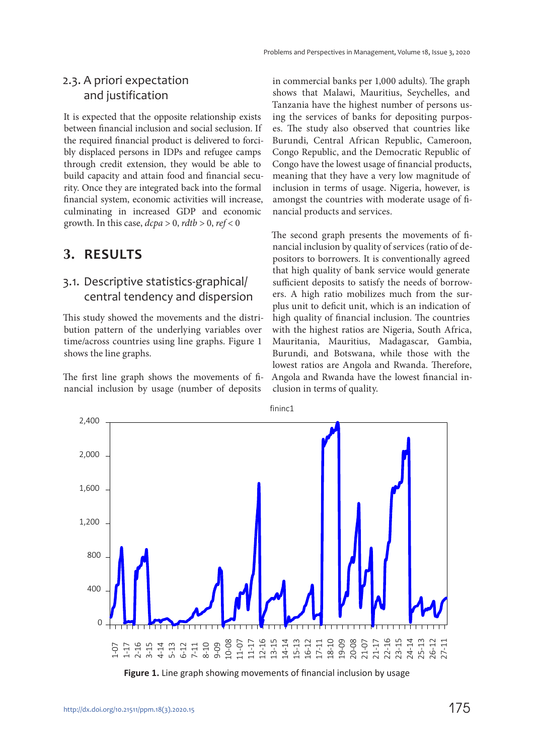#### 2.3. A priori expectation and justification

It is expected that the opposite relationship exists between financial inclusion and social seclusion. If the required financial product is delivered to forcibly displaced persons in IDPs and refugee camps through credit extension, they would be able to build capacity and attain food and financial security. Once they are integrated back into the formal financial system, economic activities will increase, culminating in increased GDP and economic growth. In this case,  $dcpa > 0$ ,  $rdtb > 0$ ,  $ref < 0$ 

## **3. RESULTS**

#### 3.1. Descriptive statistics-graphical/ central tendency and dispersion

This study showed the movements and the distribution pattern of the underlying variables over time/across countries using line graphs. Figure 1 shows the line graphs.

The first line graph shows the movements of financial inclusion by usage (number of deposits

in commercial banks per 1,000 adults). The graph shows that Malawi, Mauritius, Seychelles, and Tanzania have the highest number of persons using the services of banks for depositing purposes. The study also observed that countries like Burundi, Central African Republic, Cameroon, Congo Republic, and the Democratic Republic of Congo have the lowest usage of financial products, meaning that they have a very low magnitude of inclusion in terms of usage. Nigeria, however, is amongst the countries with moderate usage of financial products and services.

The second graph presents the movements of financial inclusion by quality of services (ratio of depositors to borrowers. It is conventionally agreed that high quality of bank service would generate sufficient deposits to satisfy the needs of borrowers. A high ratio mobilizes much from the surplus unit to deficit unit, which is an indication of high quality of financial inclusion. The countries with the highest ratios are Nigeria, South Africa, Mauritania, Mauritius, Madagascar, Gambia, Burundi, and Botswana, while those with the lowest ratios are Angola and Rwanda. Therefore, Angola and Rwanda have the lowest financial inclusion in terms of quality.



**Figure 1.** Line graph showing movements of financial inclusion by usage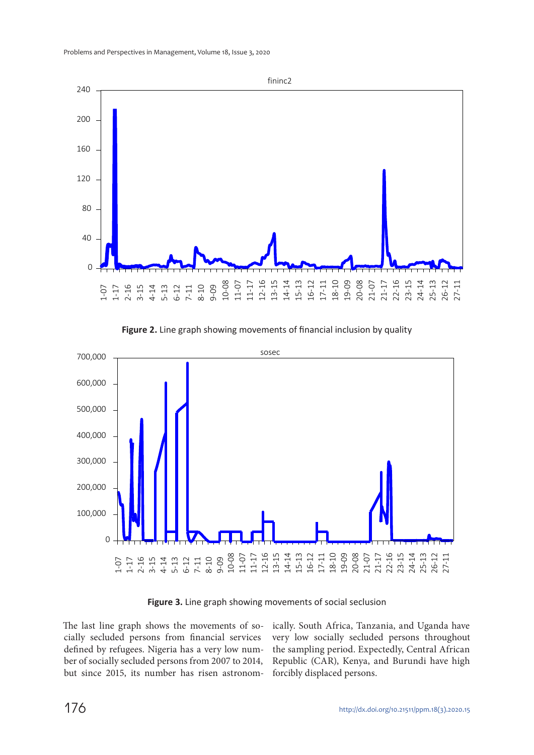

**Figure 2.** Line graph showing movements of financial inclusion by quality



**Figure 3.** Line graph showing movements of social seclusion

The last line graph shows the movements of socially secluded persons from financial services defined by refugees. Nigeria has a very low number of socially secluded persons from 2007 to 2014, but since 2015, its number has risen astronomically. South Africa, Tanzania, and Uganda have very low socially secluded persons throughout the sampling period. Expectedly, Central African Republic (CAR), Kenya, and Burundi have high forcibly displaced persons.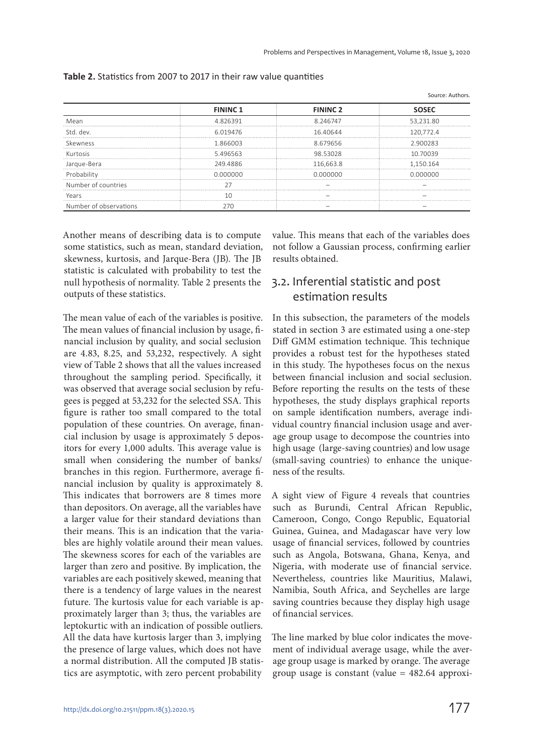|                        |                 |                 | Source: Authors |
|------------------------|-----------------|-----------------|-----------------|
|                        | <b>FININC 1</b> | <b>FININC 2</b> | sosfo           |
| Mean                   | 4826391         | 8 246747        | 53.231.80       |
| std dev                | 6 019476        | 1640644         |                 |
| Skewness               | 866003          | 8 679656        |                 |
| Kurtosis               | 5.496563        | 98.53028        | 10 70039        |
| Jarque-Bera            | 249.4886        | 116.663.8       | 1.150.164       |
|                        | O OOOOOO        | N NUUUU         | N NUUUUU        |
| Number of countries    |                 |                 |                 |
| Years                  |                 |                 |                 |
| Number of observations |                 |                 |                 |

|  |  | Table 2. Statistics from 2007 to 2017 in their raw value quantities |
|--|--|---------------------------------------------------------------------|
|--|--|---------------------------------------------------------------------|

Another means of describing data is to compute some statistics, such as mean, standard deviation, skewness, kurtosis, and Jarque-Bera (JB). The JB statistic is calculated with probability to test the null hypothesis of normality. Table 2 presents the outputs of these statistics.

The mean value of each of the variables is positive. The mean values of financial inclusion by usage, financial inclusion by quality, and social seclusion are 4.83, 8.25, and 53,232, respectively. A sight view of Table 2 shows that all the values increased throughout the sampling period. Specifically, it was observed that average social seclusion by refugees is pegged at 53,232 for the selected SSA. This figure is rather too small compared to the total population of these countries. On average, financial inclusion by usage is approximately 5 depositors for every 1,000 adults. This average value is small when considering the number of banks/ branches in this region. Furthermore, average financial inclusion by quality is approximately 8. This indicates that borrowers are 8 times more than depositors. On average, all the variables have a larger value for their standard deviations than their means. This is an indication that the variables are highly volatile around their mean values. The skewness scores for each of the variables are larger than zero and positive. By implication, the variables are each positively skewed, meaning that there is a tendency of large values in the nearest future. The kurtosis value for each variable is approximately larger than 3; thus, the variables are leptokurtic with an indication of possible outliers. All the data have kurtosis larger than 3, implying the presence of large values, which does not have a normal distribution. All the computed JB statistics are asymptotic, with zero percent probability

value. This means that each of the variables does not follow a Gaussian process, confirming earlier results obtained.

### 3.2. Inferential statistic and post estimation results

In this subsection, the parameters of the models stated in section 3 are estimated using a one-step Diff GMM estimation technique. This technique provides a robust test for the hypotheses stated in this study. The hypotheses focus on the nexus between financial inclusion and social seclusion. Before reporting the results on the tests of these hypotheses, the study displays graphical reports on sample identification numbers, average individual country financial inclusion usage and average group usage to decompose the countries into high usage (large-saving countries) and low usage (small-saving countries) to enhance the uniqueness of the results.

A sight view of Figure 4 reveals that countries such as Burundi, Central African Republic, Cameroon, Congo, Congo Republic, Equatorial Guinea, Guinea, and Madagascar have very low usage of financial services, followed by countries such as Angola, Botswana, Ghana, Kenya, and Nigeria, with moderate use of financial service. Nevertheless, countries like Mauritius, Malawi, Namibia, South Africa, and Seychelles are large saving countries because they display high usage of financial services.

The line marked by blue color indicates the movement of individual average usage, while the average group usage is marked by orange. The average group usage is constant (value = 482.64 approxi-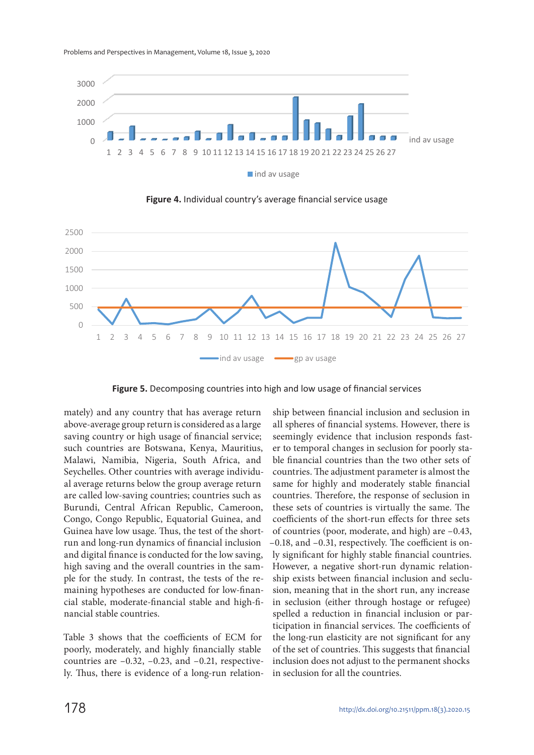



**Figure 4.** Individual country's average financial service usage



**Figure 5.** Decomposing countries into high and low usage of financial services

mately) and any country that has average return above-average group return is considered as a large saving country or high usage of financial service; such countries are Botswana, Kenya, Mauritius, Malawi, Namibia, Nigeria, South Africa, and Seychelles. Other countries with average individual average returns below the group average return are called low-saving countries; countries such as Burundi, Central African Republic, Cameroon, Congo, Congo Republic, Equatorial Guinea, and Guinea have low usage. Thus, the test of the shortrun and long-run dynamics of financial inclusion and digital finance is conducted for the low saving, high saving and the overall countries in the sample for the study. In contrast, the tests of the remaining hypotheses are conducted for low-financial stable, moderate-financial stable and high-financial stable countries.

Table 3 shows that the coefficients of ECM for poorly, moderately, and highly financially stable countries are –0.32, –0.23, and –0.21, respectively. Thus, there is evidence of a long-run relation-

ship between financial inclusion and seclusion in all spheres of financial systems. However, there is seemingly evidence that inclusion responds faster to temporal changes in seclusion for poorly stable financial countries than the two other sets of countries. The adjustment parameter is almost the same for highly and moderately stable financial countries. Therefore, the response of seclusion in these sets of countries is virtually the same. The coefficients of the short-run effects for three sets of countries (poor, moderate, and high) are –0.43, –0.18, and –0.31, respectively. The coefficient is only significant for highly stable financial countries. However, a negative short-run dynamic relationship exists between financial inclusion and seclusion, meaning that in the short run, any increase in seclusion (either through hostage or refugee) spelled a reduction in financial inclusion or participation in financial services. The coefficients of the long-run elasticity are not significant for any of the set of countries. This suggests that financial inclusion does not adjust to the permanent shocks in seclusion for all the countries.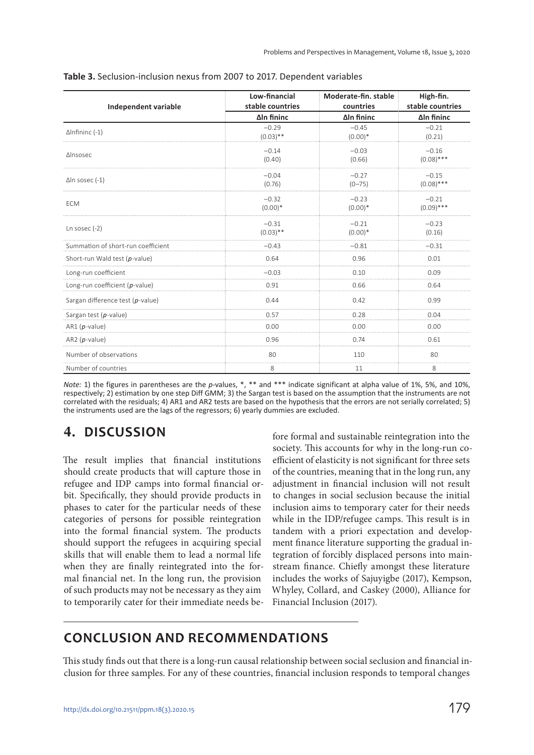| <b>Independent variable</b>        | Low-financial<br>stable countries | Moderate-fin. stable<br>countries | High-fin.<br>stable countries |
|------------------------------------|-----------------------------------|-----------------------------------|-------------------------------|
|                                    | ΔIn fininc                        | ΔIn fininc                        | ΔIn fininc                    |
| $\Delta$ Infininc (-1)             | $-0.29$<br>$(0.03)$ **            | $-0.45$<br>$(0.00)*$              | $-0.21$<br>(0.21)             |
| ΔInsosec                           | $-0.14$<br>(0.40)                 | $-0.03$<br>(0.66)                 | $-0.16$<br>$(0.08)$ ***       |
| $\Delta$ In sosec (-1)             | $-0.04$<br>(0.76)                 | $-0.27$<br>$(0 - 75)$             | $-0.15$<br>$(0.08)$ ***       |
| <b>ECM</b>                         | $-0.32$<br>$(0.00)*$              | $-0.23$<br>$(0.00)*$              | $-0.21$<br>$(0.09)$ ***       |
| Ln sosec $(-2)$                    | $-0.31$<br>$(0.03)$ **            | $-0.21$<br>$(0.00)*$              | $-0.23$<br>(0.16)             |
| Summation of short-run coefficient | $-0.43$                           | $-0.81$                           | $-0.31$                       |
| Short-run Wald test (p-value)      | 0.64                              | 0.96                              | 0.01                          |
| Long-run coefficient               | $-0.03$                           | 0.10                              | 0.09                          |
| Long-run coefficient (p-value)     | 0.91                              | 0.66                              | 0.64                          |
| Sargan difference test (p-value)   | 0.44                              | 0.42                              | 0.99                          |
| Sargan test (p-value)              | 0.57                              | 0.28                              | 0.04                          |
| $AR1(p-value)$                     | 0.00                              | 0.00                              | 0.00                          |
| $AR2(p-value)$                     | 0.96                              | 0.74                              | 0.61                          |
| Number of observations             | 80                                | 110                               | 80                            |
| Number of countries                | 8                                 | 11                                | 8                             |

*Note:* 1) the figures in parentheses are the *p*-values, \*, \*\* and \*\*\* indicate significant at alpha value of 1%, 5%, and 10%, respectively; 2) estimation by one step Diff GMM; 3) the Sargan test is based on the assumption that the instruments are not correlated with the residuals; 4) AR1 and AR2 tests are based on the hypothesis that the errors are not serially correlated; 5) the instruments used are the lags of the regressors; 6) yearly dummies are excluded.

# **4. DISCUSSION**

The result implies that financial institutions should create products that will capture those in refugee and IDP camps into formal financial orbit. Specifically, they should provide products in phases to cater for the particular needs of these categories of persons for possible reintegration into the formal financial system. The products should support the refugees in acquiring special skills that will enable them to lead a normal life when they are finally reintegrated into the formal financial net. In the long run, the provision of such products may not be necessary as they aim to temporarily cater for their immediate needs before formal and sustainable reintegration into the society. This accounts for why in the long-run coefficient of elasticity is not significant for three sets of the countries, meaning that in the long run, any adjustment in financial inclusion will not result to changes in social seclusion because the initial inclusion aims to temporary cater for their needs while in the IDP/refugee camps. This result is in tandem with a priori expectation and development finance literature supporting the gradual integration of forcibly displaced persons into mainstream finance. Chiefly amongst these literature includes the works of Sajuyigbe (2017), Kempson, Whyley, Collard, and Caskey (2000), Alliance for Financial Inclusion (2017).

# **CONCLUSION AND RECOMMENDATIONS**

This study finds out that there is a long-run causal relationship between social seclusion and financial inclusion for three samples. For any of these countries, financial inclusion responds to temporal changes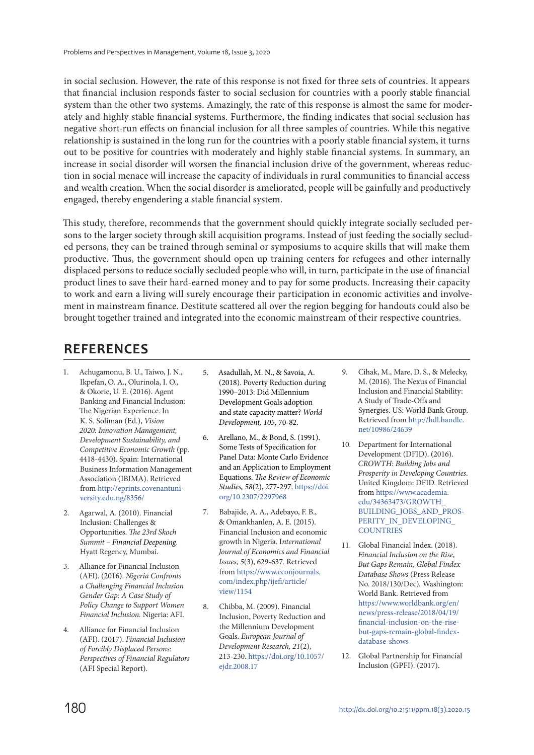in social seclusion. However, the rate of this response is not fixed for three sets of countries. It appears that financial inclusion responds faster to social seclusion for countries with a poorly stable financial system than the other two systems. Amazingly, the rate of this response is almost the same for moderately and highly stable financial systems. Furthermore, the finding indicates that social seclusion has negative short-run effects on financial inclusion for all three samples of countries. While this negative relationship is sustained in the long run for the countries with a poorly stable financial system, it turns out to be positive for countries with moderately and highly stable financial systems. In summary, an increase in social disorder will worsen the financial inclusion drive of the government, whereas reduction in social menace will increase the capacity of individuals in rural communities to financial access and wealth creation. When the social disorder is ameliorated, people will be gainfully and productively engaged, thereby engendering a stable financial system.

This study, therefore, recommends that the government should quickly integrate socially secluded persons to the larger society through skill acquisition programs. Instead of just feeding the socially secluded persons, they can be trained through seminal or symposiums to acquire skills that will make them productive. Thus, the government should open up training centers for refugees and other internally displaced persons to reduce socially secluded people who will, in turn, participate in the use of financial product lines to save their hard-earned money and to pay for some products. Increasing their capacity to work and earn a living will surely encourage their participation in economic activities and involvement in mainstream finance. Destitute scattered all over the region begging for handouts could also be brought together trained and integrated into the economic mainstream of their respective countries.

# **REFERENCES**

- 1. Achugamonu, B. U., Taiwo, J. N., Ikpefan, O. A., Olurinola, I. O., & Okorie, U. E. (2016). Agent Banking and Financial Inclusion: The Nigerian Experience. In K. S. Soliman (Ed.), Vision 2020: Innovation Management, Development Sustainability, and Competitive Economic Growth (pp. 4418-4430). Spain: International Business Information Management Association (IBIMA). Retrieved from http://eprints.covenantuniversity.edu.ng/8356/
- 2. Agarwal, A. (2010). Financial Inclusion: Challenges & Opportunities. The 23rd Skoch Summit – Financial Deepening. Hyatt Regency, Mumbai.
- 3. Alliance for Financial Inclusion (AFI). (2016). Nigeria Confronts a Challenging Financial Inclusion Gender Gap: A Case Study of Policy Change to Support Women Financial Inclusion. Nigeria: AFI.
- 4. Alliance for Financial Inclusion (AFI). (2017). Financial Inclusion of Forcibly Displaced Persons: Perspectives of Financial Regulators (AFI Special Report).
- 5. Asadullah, M. N., & Savoia, A. (2018). Poverty Reduction during 1990–2013: Did Millennium Development Goals adoption and state capacity matter? World Development, 105, 70-82.
- 6. Arellano, M., & Bond, S. (1991). Some Tests of Specification for Panel Data: Monte Carlo Evidence and an Application to Employment Equations. The Review of Economic Studies, 58(2), 277-297. https://doi. org/10.2307/2297968
- 7. Babajide, A. A., Adebayo, F. B., & Omankhanlen, A. E. (2015). Financial Inclusion and economic growth in Nigeria. International Journal of Economics and Financial Issues, 5(3), 629-637. Retrieved from https://www.econjournals. com/index.php/ijefi/article/ view/1154
- 8. Chibba, M. (2009). Financial Inclusion, Poverty Reduction and the Millennium Development Goals. European Journal of Development Research, 21(2), 213-230. https://doi.org/10.1057/ ejdr.2008.17
- 9. Cihak, M., Mare, D. S., & Melecky, M. (2016). The Nexus of Financial Inclusion and Financial Stability: A Study of Trade-Offs and Synergies. US: World Bank Group. Retrieved from http://hdl.handle. net/10986/24639
- 10. Department for International Development (DFID). (2016). CROWTH: Building Jobs and Prosperity in Developing Countries. United Kingdom: DFID. Retrieved from https://www.academia. edu/34363473/GROWTH\_ BUILDING\_JOBS\_AND\_PROS-PERITY\_IN\_DEVELOPING **COUNTRIES**
- 11. Global Financial Index. (2018). Financial Inclusion on the Rise, But Gaps Remain, Global Findex Database Shows (Press Release No. 2018/130/Dec). Washington: World Bank. Retrieved from https://www.worldbank.org/en/ news/press-release/2018/04/19/ financial-inclusion-on-the-risebut-gaps-remain-global-findexdatabase-shows
- 12. Global Partnership for Financial Inclusion (GPFI). (2017).